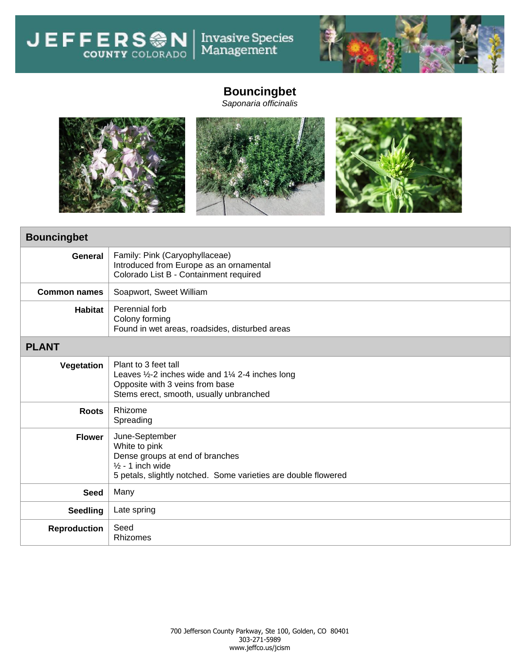Invasive Species<br>Management **JEFFERSON** 



## **Bouncingbet**

*Saponaria officinalis*



| <b>Bouncingbet</b>  |                                                                                                                                                                               |  |
|---------------------|-------------------------------------------------------------------------------------------------------------------------------------------------------------------------------|--|
| General             | Family: Pink (Caryophyllaceae)<br>Introduced from Europe as an ornamental<br>Colorado List B - Containment required                                                           |  |
| <b>Common names</b> | Soapwort, Sweet William                                                                                                                                                       |  |
| <b>Habitat</b>      | Perennial forb<br>Colony forming<br>Found in wet areas, roadsides, disturbed areas                                                                                            |  |
| <b>PLANT</b>        |                                                                                                                                                                               |  |
| Vegetation          | Plant to 3 feet tall<br>Leaves $\frac{1}{2}$ -2 inches wide and 1 $\frac{1}{4}$ 2-4 inches long<br>Opposite with 3 veins from base<br>Stems erect, smooth, usually unbranched |  |
| <b>Roots</b>        | Rhizome<br>Spreading                                                                                                                                                          |  |
| <b>Flower</b>       | June-September<br>White to pink<br>Dense groups at end of branches<br>$\frac{1}{2}$ - 1 inch wide<br>5 petals, slightly notched. Some varieties are double flowered           |  |
| <b>Seed</b>         | Many                                                                                                                                                                          |  |
| <b>Seedling</b>     | Late spring                                                                                                                                                                   |  |
| <b>Reproduction</b> | Seed<br>Rhizomes                                                                                                                                                              |  |